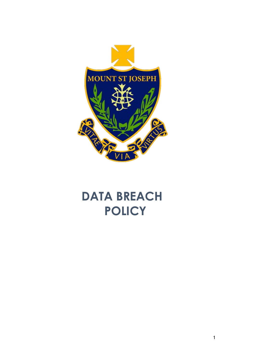

# **DATA BREACH POLICY**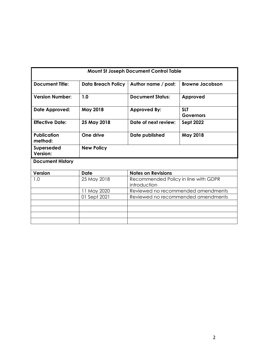| <b>Mount St Joseph Document Control Table</b> |                           |                                                      |                                    |
|-----------------------------------------------|---------------------------|------------------------------------------------------|------------------------------------|
| <b>Document Title:</b>                        | <b>Data Breach Policy</b> | Author name / post:                                  | <b>Browne Jacobson</b>             |
| <b>Version Number:</b>                        | 1.0                       | <b>Document Status:</b>                              | Approved                           |
| Date Approved:                                | <b>May 2018</b>           | <b>Approved By:</b>                                  | <b>SLT</b><br><b>Governors</b>     |
| <b>Effective Date:</b>                        | 25 May 2018               | Date of next review:                                 | <b>Sept 2022</b>                   |
| <b>Publication</b><br>method:                 | One drive                 | Date published                                       | <b>May 2018</b>                    |
| Superseded<br>Version:                        | <b>New Policy</b>         |                                                      |                                    |
| <b>Document History</b>                       |                           |                                                      |                                    |
| <b>Version</b>                                | <b>Date</b>               | <b>Notes on Revisions</b>                            |                                    |
| 1.0                                           | 25 May 2018               | Recommended Policy in line with GDPR<br>introduction |                                    |
|                                               | 11 May 2020               |                                                      | Reviewed no recommended amendments |
|                                               | 01 Sept 2021              |                                                      | Reviewed no recommended amendments |
|                                               |                           |                                                      |                                    |
|                                               |                           |                                                      |                                    |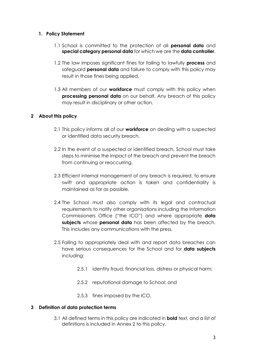## **1. Policy Statement**

- 1.1 School is committed to the protection of all **personal data** and **special category personal data** for which we are the **data controller**.
- 1.2 The law imposes significant fines for failing to lawfully **process** and safeguard **personal data** and failure to comply with this policy may result in those fines being applied.
- 1.3 All members of our **workforce** must comply with this policy when **processing personal data** on our behalf. Any breach of this policy may result in disciplinary or other action.

## **2 About this policy**

- 2.1 This policy informs all of our **workforce** on dealing with a suspected or identified data security breach.
- 2.2 In the event of a suspected or identified breach, School must take steps to minimise the impact of the breach and prevent the breach from continuing or reoccurring.
- 2.3 Efficient internal management of any breach is required, to ensure swift and appropriate action is taken and confidentiality is maintained as far as possible.
- 2.4 The School must also comply with its legal and contractual requirements to notify other organisations including the Information Commissioners Office ("the ICO") and where appropriate **data subjects** whose **personal data** has been affected by the breach. This includes any communications with the press.
- 2.5 Failing to appropriately deal with and report data breaches can have serious consequences for the School and for **data subjects** including:
	- 2.5.1 identity fraud, financial loss, distress or physical harm;
	- 2.5.2 reputational damage to School; and
	- 2.5.3 fines imposed by the ICO.

# **3 Definition of data protection terms**

3.1 All defined terms in this policy are indicated in **bold** text, and a list of definitions is included in Annex 2 to this policy.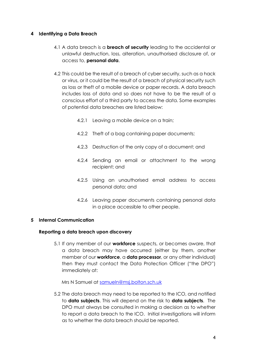## **4 Identifying a Data Breach**

- 4.1 A data breach is a **breach of security** leading to the accidental or unlawful destruction, loss, alteration, unauthorised disclosure of, or access to, **personal data**.
- 4.2 This could be the result of a breach of cyber security, such as a hack or virus, or it could be the result of a breach of physical security such as loss or theft of a mobile device or paper records. A data breach includes loss of data and so does not have to be the result of a conscious effort of a third party to access the data. Some examples of potential data breaches are listed below:
	- 4.2.1 Leaving a mobile device on a train;
	- 4.2.2 Theft of a bag containing paper documents;
	- 4.2.3 Destruction of the only copy of a document; and
	- 4.2.4 Sending an email or attachment to the wrong recipient; and
	- 4.2.5 Using an unauthorised email address to access personal data; and
	- 4.2.6 Leaving paper documents containing personal data in a place accessible to other people.

# **5 Internal Communication**

## **Reporting a data breach upon discovery**

5.1 If any member of our **workforce** suspects, or becomes aware, that a data breach may have occurred (either by them, another member of our **workforce**, a **data processor**, or any other individual) then they must contact the Data Protection Officer ("the DPO") immediately at:

Mrs N Samuel at [samueln@msj.bolton.sch.uk](mailto:samueln@msj.bolton.sch.uk)

5.2 The data breach may need to be reported to the ICO, and notified to **data subjects**. This will depend on the risk to **data subjects**. The DPO must always be consulted in making a decision as to whether to report a data breach to the ICO. Initial investigations will inform as to whether the data breach should be reported.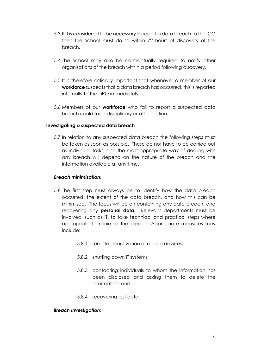- 5.3 If it is considered to be necessary to report a data breach to the ICO then the School must do so within 72 hours of discovery of the breach.
- 5.4 The School may also be contractually required to notify other organisations of the breach within a period following discovery.
- 5.5 It is therefore critically important that whenever a member of our **workforce** suspects that a data breach has occurred, this is reported internally to the DPO immediately.
- 5.6 Members of our **workforce** who fail to report a suspected data breach could face disciplinary or other action.

#### **Investigating a suspected data breach**

5.7 In relation to any suspected data breach the following steps must be taken as soon as possible. These do not have to be carried out as individual tasks, and the most appropriate way of dealing with any breach will depend on the nature of the breach and the information available at any time.

#### *Breach minimisation:*

- 5.8 The first step must always be to identify how the data breach occurred, the extent of the data breach, and how this can be minimised. The focus will be on containing any data breach, and recovering any **personal data**. Relevant departments must be involved, such as IT, to take technical and practical steps where appropriate to minimise the breach. Appropriate measures may include:
	- 5.8.1 remote deactivation of mobile devices;
	- 5.8.2 shutting down IT systems;
	- 5.8.3 contacting individuals to whom the information has been disclosed and asking them to delete the information; and
	- 5.8.4 recovering lost data.

#### *Breach investigation:*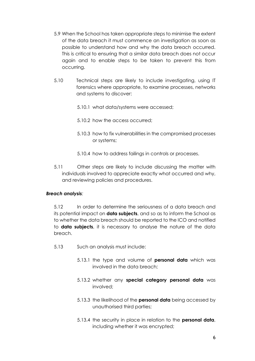- 5.9 When the School has taken appropriate steps to minimise the extent of the data breach it must commence an investigation as soon as possible to understand how and why the data breach occurred. This is critical to ensuring that a similar data breach does not occur again and to enable steps to be taken to prevent this from occurring.
- 5.10 Technical steps are likely to include investigating, using IT forensics where appropriate, to examine processes, networks and systems to discover:
	- 5.10.1 what data/systems were accessed;
	- 5.10.2 how the access occurred;
	- 5.10.3 how to fix vulnerabilities in the compromised processes or systems;
	- 5.10.4 how to address failings in controls or processes.
- 5.11 Other steps are likely to include discussing the matter with individuals involved to appreciate exactly what occurred and why, and reviewing policies and procedures.

## *Breach analysis:*

5.12 In order to determine the seriousness of a data breach and its potential impact on **data subjects**, and so as to inform the School as to whether the data breach should be reported to the ICO and notified to **data subjects**, it is necessary to analyse the nature of the data breach.

- 5.13 Such an analysis must include:
	- 5.13.1 the type and volume of **personal data** which was involved in the data breach;
	- 5.13.2 whether any **special category personal data** was involved;
	- 5.13.3 the likelihood of the **personal data** being accessed by unauthorised third parties;
	- 5.13.4 the security in place in relation to the **personal data**, including whether it was encrypted;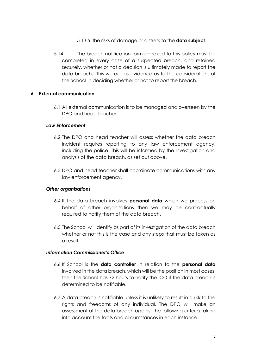- 5.13.5 the risks of damage or distress to the **data subject**.
- 5.14 The breach notification form annexed to this policy must be completed in every case of a suspected breach, and retained securely, whether or not a decision is ultimately made to report the data breach. This will act as evidence as to the considerations of the School in deciding whether or not to report the breach.

#### **6 External communication**

6.1 All external communication is to be managed and overseen by the DPO and head teacher.

#### *Law Enforcement*

- 6.2 The DPO and head teacher will assess whether the data breach incident requires reporting to any law enforcement agency, including the police. This will be informed by the investigation and analysis of the data breach, as set out above.
- 6.3 DPO and head teacher shall coordinate communications with any law enforcement agency.

#### *Other organisations*

- 6.4 If the data breach involves **personal data** which we process on behalf of other organisations then we may be contractually required to notify them of the data breach.
- 6.5 The School will identify as part of its investigation of the data breach whether or not this is the case and any steps that must be taken as a result.

#### *Information Commissioner's Office*

- 6.6 If School is the **data controller** in relation to the **personal data** involved in the data breach, which will be the position in most cases, then the School has 72 hours to notify the ICO if the data breach is determined to be notifiable.
- 6.7 A data breach is notifiable unless it is unlikely to result in a risk to the rights and freedoms of any individual. The DPO will make an assessment of the data breach against the following criteria taking into account the facts and circumstances in each instance: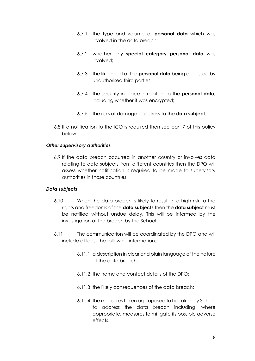- 6.7.1 the type and volume of **personal data** which was involved in the data breach;
- 6.7.2 whether any **special category personal data** was involved;
- 6.7.3 the likelihood of the **personal data** being accessed by unauthorised third parties;
- 6.7.4 the security in place in relation to the **personal data**, including whether it was encrypted;
- 6.7.5 the risks of damage or distress to the **data subject**.
- 6.8 If a notification to the ICO is required then see part 7 of this policy below.

## *Other supervisory authorities*

6.9 If the data breach occurred in another country or involves data relating to data subjects from different countries then the DPO will assess whether notification is required to be made to supervisory authorities in those countries.

## *Data subjects*

- 6.10 When the data breach is likely to result in a high risk to the rights and freedoms of the **data subjects** then the **data subject** must be notified without undue delay. This will be informed by the investigation of the breach by the School.
- 6.11 The communication will be coordinated by the DPO and will include at least the following information:
	- 6.11.1 a description in clear and plain language of the nature of the data breach;
	- 6.11.2 the name and contact details of the DPO;
	- 6.11.3 the likely consequences of the data breach;
	- 6.11.4 the measures taken or proposed to be taken by School to address the data breach including, where appropriate, measures to mitigate its possible adverse effects.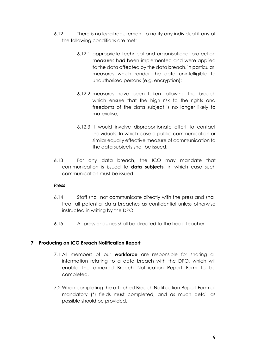- 6.12 There is no legal requirement to notify any individual if any of the following conditions are met:
	- 6.12.1 appropriate technical and organisational protection measures had been implemented and were applied to the data affected by the data breach, in particular, measures which render the data unintelligible to unauthorised persons (e.g. encryption);
	- 6.12.2 measures have been taken following the breach which ensure that the high risk to the rights and freedoms of the data subject is no longer likely to materialise;
	- 6.12.3 it would involve disproportionate effort to contact individuals. In which case a public communication or similar equally effective measure of communication to the data subjects shall be issued.
- 6.13 For any data breach, the ICO may mandate that communication is issued to **data subjects**, in which case such communication must be issued.

## *Press*

- 6.14 Staff shall not communicate directly with the press and shall treat all potential data breaches as confidential unless otherwise instructed in writing by the DPO.
- 6.15 All press enquiries shall be directed to the head teacher

# **7 Producing an ICO Breach Notification Report**

- 7.1 All members of our **workforce** are responsible for sharing all information relating to a data breach with the DPO, which will enable the annexed Breach Notification Report Form to be completed.
- 7.2 When completing the attached Breach Notification Report Form all mandatory (\*) fields must completed, and as much detail as possible should be provided.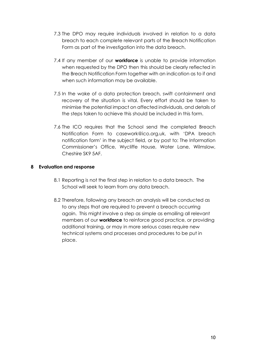- 7.3 The DPO may require individuals involved in relation to a data breach to each complete relevant parts of the Breach Notification Form as part of the investigation into the data breach.
- 7.4 If any member of our **workforce** is unable to provide information when requested by the DPO then this should be clearly reflected in the Breach Notification Form together with an indication as to if and when such information may be available.
- 7.5 In the wake of a data protection breach, swift containment and recovery of the situation is vital. Every effort should be taken to minimise the potential impact on affected individuals, and details of the steps taken to achieve this should be included in this form.
- 7.6 The ICO requires that the School send the completed Breach Notification Form to casework@ico.org.uk, with 'DPA breach notification form' in the subject field, or by post to: The Information Commissioner's Office, Wycliffe House, Water Lane, Wilmslow, Cheshire SK9 5AF.

## **8 Evaluation and response**

- 8.1 Reporting is not the final step in relation to a data breach. The School will seek to learn from any data breach.
- 8.2 Therefore, following any breach an analysis will be conducted as to any steps that are required to prevent a breach occurring again. This might involve a step as simple as emailing all relevant members of our **workforce** to reinforce good practice, or providing additional training, or may in more serious cases require new technical systems and processes and procedures to be put in place.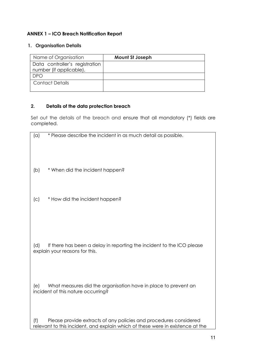# **ANNEX 1 – ICO Breach Notification Report**

# **1. Organisation Details**

| Name of Organisation                                      | <b>Mount St Joseph</b> |
|-----------------------------------------------------------|------------------------|
| Data controller's registration<br>number (if applicable). |                        |
| DPO                                                       |                        |
| Contact Details                                           |                        |

# **2. Details of the data protection breach**

Set out the details of the breach and ensure that all mandatory (\*) fields are completed.

| * Please describe the incident in as much detail as possible.<br>(a)                                 |
|------------------------------------------------------------------------------------------------------|
|                                                                                                      |
|                                                                                                      |
|                                                                                                      |
| * When did the incident happen?<br>(b)                                                               |
|                                                                                                      |
|                                                                                                      |
| * How did the incident happen?<br>(C)                                                                |
|                                                                                                      |
|                                                                                                      |
|                                                                                                      |
| (d)<br>If there has been a delay in reporting the incident to the ICO please                         |
| explain your reasons for this.                                                                       |
|                                                                                                      |
|                                                                                                      |
| (e)                                                                                                  |
| What measures did the organisation have in place to prevent an<br>incident of this nature occurring? |
|                                                                                                      |
|                                                                                                      |
| Please provide extracts of any policies and procedures considered<br>(f)                             |
| relevant to this incident, and explain which of these were in existence at the                       |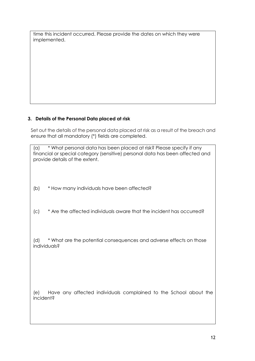| time this incident occurred. Please provide the dates on which they were |  |
|--------------------------------------------------------------------------|--|
| implemented.                                                             |  |

# **3. Details of the Personal Data placed at risk**

Set out the details of the personal data placed at risk as a result of the breach and ensure that all mandatory (\*) fields are completed.

| * What personal data has been placed at risk? Please specify if any<br>(a)<br>financial or special category (sensitive) personal data has been affected and<br>provide details of the extent. |  |
|-----------------------------------------------------------------------------------------------------------------------------------------------------------------------------------------------|--|
| * How many individuals have been affected?<br>(b)                                                                                                                                             |  |
| * Are the affected individuals aware that the incident has occurred?<br>(C)                                                                                                                   |  |
| * What are the potential consequences and adverse effects on those<br>(d)<br>individuals?                                                                                                     |  |
| Have any affected individuals complained to the School about the<br>(e)<br>incident?                                                                                                          |  |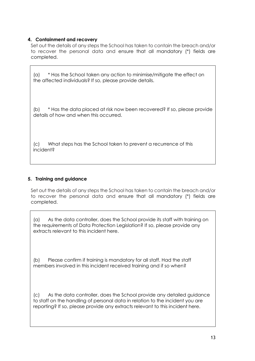## **4. Containment and recovery**

Set out the details of any steps the School has taken to contain the breach and/or to recover the personal data and ensure that all mandatory (\*) fields are completed.

(a) \* Has the School taken any action to minimise/mitigate the effect on the affected individuals? If so, please provide details.

(b) \* Has the data placed at risk now been recovered? If so, please provide details of how and when this occurred.

(c) What steps has the School taken to prevent a recurrence of this incident?

## **5. Training and guidance**

Set out the details of any steps the School has taken to contain the breach and/or to recover the personal data and ensure that all mandatory (\*) fields are completed.

(a) As the data controller, does the School provide its staff with training on the requirements of Data Protection Legislation? If so, please provide any extracts relevant to this incident here.

(b) Please confirm if training is mandatory for all staff. Had the staff members involved in this incident received training and if so when?

(c) As the data controller, does the School provide any detailed guidance to staff on the handling of personal data in relation to the incident you are reporting? If so, please provide any extracts relevant to this incident here.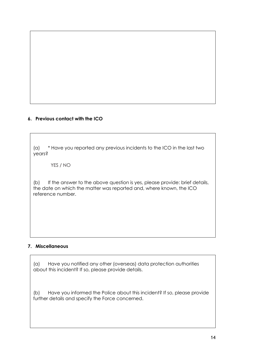# **6. Previous contact with the ICO**

(a) \* Have you reported any previous incidents to the ICO in the last two years?

YES / NO

(b) If the answer to the above question is yes, please provide: brief details, the date on which the matter was reported and, where known, the ICO reference number.

# **7. Miscellaneous**

(a) Have you notified any other (overseas) data protection authorities about this incident? If so, please provide details.

(b) Have you informed the Police about this incident? If so, please provide further details and specify the Force concerned.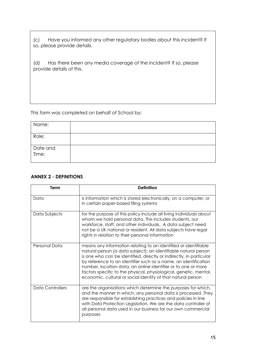Have you informed any other regulatory bodies about this incident? If (c) Have you informed oso, please provide details.

(d) Has there been any media coverage of the incident? If so, please provide details of this.

This form was completed on behalf of School by:

| Name:             |  |
|-------------------|--|
| Role:             |  |
| Date and<br>Time: |  |

## **ANNEX 2 - DEFINITIONS**

| Term             | <b>Definition</b>                                                                                                                                                                                                                                                                                                                                                                                                                                                                  |
|------------------|------------------------------------------------------------------------------------------------------------------------------------------------------------------------------------------------------------------------------------------------------------------------------------------------------------------------------------------------------------------------------------------------------------------------------------------------------------------------------------|
| Data             | is information which is stored electronically, on a computer, or<br>in certain paper-based filing systems                                                                                                                                                                                                                                                                                                                                                                          |
| Data Subjects    | for the purpose of this policy include all living individuals about<br>whom we hold personal data. This includes students, our<br>workforce, staff, and other individuals. A data subject need<br>not be a UK national or resident. All data subjects have legal<br>rights in relation to their personal information                                                                                                                                                               |
| Personal Data    | means any information relating to an identified or identifiable<br>natural person (a data subject); an identifiable natural person<br>is one who can be identified, directly or indirectly, in particular<br>by reference to an identifier such as a name, an identification<br>number, location data, an online identifier or to one or more<br>factors specific to the physical, physiological, genetic, mental,<br>economic, cultural or social identity of that natural person |
| Data Controllers | are the organisations which determine the purposes for which,<br>and the manner in which, any personal data is processed. They<br>are responsible for establishing practices and policies in line<br>with Data Protection Legislation. We are the data controller of<br>all personal data used in our business for our own commercial<br>purposes                                                                                                                                  |